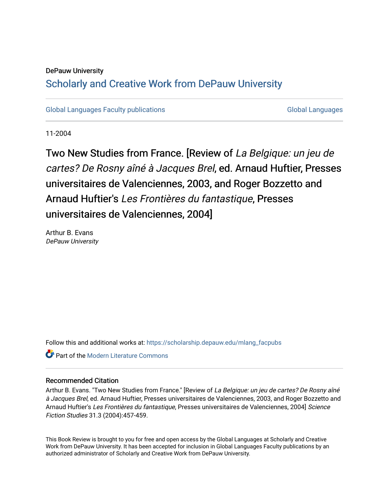## DePauw University

## Scholarly and [Creative Work from DePauw Univ](https://scholarship.depauw.edu/)ersity

[Global Languages Faculty publications](https://scholarship.depauw.edu/mlang_facpubs) [Global Languages](https://scholarship.depauw.edu/modernlanguages) Global Languages

11-2004

Two New Studies from France. [Review of La Belgique: un jeu de cartes? De Rosny aîné à Jacques Brel, ed. Arnaud Huftier, Presses universitaires de Valenciennes, 2003, and Roger Bozzetto and Arnaud Huftier's Les Frontières du fantastique, Presses universitaires de Valenciennes, 2004]

Arthur B. Evans DePauw University

Follow this and additional works at: [https://scholarship.depauw.edu/mlang\\_facpubs](https://scholarship.depauw.edu/mlang_facpubs?utm_source=scholarship.depauw.edu%2Fmlang_facpubs%2F33&utm_medium=PDF&utm_campaign=PDFCoverPages)

**C** Part of the Modern Literature Commons

## Recommended Citation

Arthur B. Evans. "Two New Studies from France." [Review of La Belgique: un jeu de cartes? De Rosny aîné à Jacques Brel, ed. Arnaud Huftier, Presses universitaires de Valenciennes, 2003, and Roger Bozzetto and Arnaud Huftier's Les Frontières du fantastique, Presses universitaires de Valenciennes, 2004] Science Fiction Studies 31.3 (2004):457-459.

This Book Review is brought to you for free and open access by the Global Languages at Scholarly and Creative Work from DePauw University. It has been accepted for inclusion in Global Languages Faculty publications by an authorized administrator of Scholarly and Creative Work from DePauw University.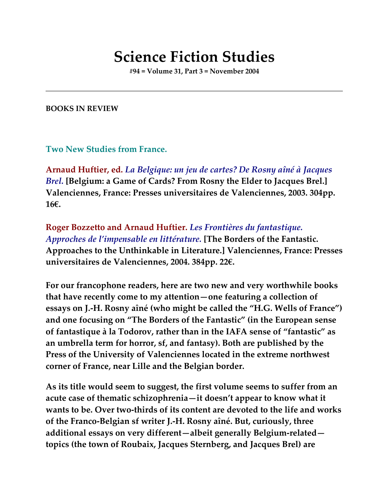## **Science Fiction Studies**

**#94 = Volume 31, Part 3 = November 2004**

**BOOKS IN REVIEW**

**Two New Studies from France.**

**Arnaud Huftier, ed.** *La Belgique: un jeu de cartes? De Rosny aîné à Jacques Brel.* **[Belgium: a Game of Cards? From Rosny the Elder to Jacques Brel.] Valenciennes, France: Presses universitaires de Valenciennes, 2003. 304pp. 16€.**

**Roger Bozzetto and Arnaud Huftier.** *Les Frontières du fantastique. Approches de l'impensable en littérature.* **[The Borders of the Fantastic. Approaches to the Unthinkable in Literature.] Valenciennes, France: Presses universitaires de Valenciennes, 2004. 384pp. 22€.**

**For our francophone readers, here are two new and very worthwhile books that have recently come to my attention—one featuring a collection of essays on J.-H. Rosny aîné (who might be called the "H.G. Wells of France") and one focusing on "The Borders of the Fantastic" (in the European sense of fantastique à la Todorov, rather than in the IAFA sense of "fantastic" as an umbrella term for horror, sf, and fantasy). Both are published by the Press of the University of Valenciennes located in the extreme northwest corner of France, near Lille and the Belgian border.**

**As its title would seem to suggest, the first volume seems to suffer from an acute case of thematic schizophrenia—it doesn't appear to know what it wants to be. Over two-thirds of its content are devoted to the life and works of the Franco-Belgian sf writer J.-H. Rosny aîné. But, curiously, three additional essays on very different—albeit generally Belgium-related topics (the town of Roubaix, Jacques Sternberg, and Jacques Brel) are**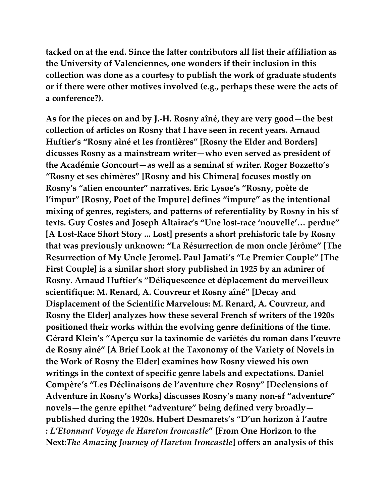**tacked on at the end. Since the latter contributors all list their affiliation as the University of Valenciennes, one wonders if their inclusion in this collection was done as a courtesy to publish the work of graduate students or if there were other motives involved (e.g., perhaps these were the acts of a conference?).**

**As for the pieces on and by J.-H. Rosny aîné, they are very good—the best collection of articles on Rosny that I have seen in recent years. Arnaud Huftier's "Rosny aîné et les frontières" [Rosny the Elder and Borders] dicusses Rosny as a mainstream writer—who even served as president of the Académie Goncourt—as well as a seminal sf writer. Roger Bozzetto's "Rosny et ses chimères" [Rosny and his Chimera] focuses mostly on Rosny's "alien encounter" narratives. Eric Lysøe's "Rosny, poète de l'impur" [Rosny, Poet of the Impure] defines "impure" as the intentional mixing of genres, registers, and patterns of referentiality by Rosny in his sf texts. Guy Costes and Joseph Altairac's "Une lost-race 'nouvelle'… perdue" [A Lost-Race Short Story ... Lost] presents a short prehistoric tale by Rosny that was previously unknown: "La Résurrection de mon oncle Jérôme" [The Resurrection of My Uncle Jerome]. Paul Jamati's "Le Premier Couple" [The First Couple] is a similar short story published in 1925 by an admirer of Rosny. Arnaud Huftier's "Déliquescence et déplacement du merveilleux scientifique: M. Renard, A. Couvreur et Rosny aîné" [Decay and Displacement of the Scientific Marvelous: M. Renard, A. Couvreur, and Rosny the Elder] analyzes how these several French sf writers of the 1920s positioned their works within the evolving genre definitions of the time. Gérard Klein's "Aperçu sur la taxinomie de variétés du roman dans l'œuvre de Rosny aîné" [A Brief Look at the Taxonomy of the Variety of Novels in the Work of Rosny the Elder] examines how Rosny viewed his own writings in the context of specific genre labels and expectations. Daniel Compère's "Les Déclinaisons de l'aventure chez Rosny" [Declensions of Adventure in Rosny's Works] discusses Rosny's many non-sf "adventure" novels—the genre epithet "adventure" being defined very broadly published during the 1920s. Hubert Desmarets's "D'un horizon à l'autre :** *L'Etonnant Voyage de Hareton Ironcastle***" [From One Horizon to the Next:***The Amazing Journey of Hareton Ironcastle***] offers an analysis of this**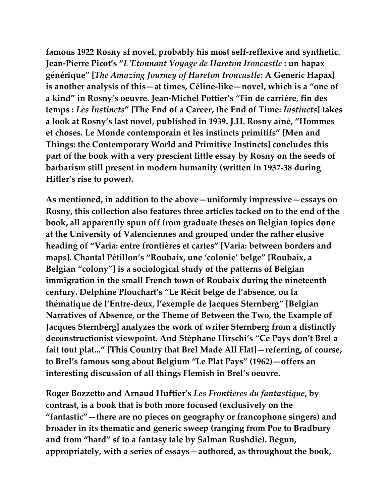**famous 1922 Rosny sf novel, probably his most self-reflexive and synthetic. Jean-Pierre Picot's "***L'Etonnant Voyage de Hareton Ironcastle* **: un hapax générique" [***The Amazing Journey of Hareton Ironcastle***: A Generic Hapax] is another analysis of this—at times, Céline-like—novel, which is a "one of a kind" in Rosny's oeuvre. Jean-Michel Pottier's "Fin de carrière, fin des temps :** *Les Instincts***" [The End of a Career, the End of Time:** *Instincts***] takes a look at Rosny's last novel, published in 1939. J.H. Rosny aîné, "Hommes et choses. Le Monde contemporain et les instincts primitifs" [Men and Things: the Contemporary World and Primitive Instincts] concludes this part of the book with a very prescient little essay by Rosny on the seeds of barbarism still present in modern humanity (written in 1937-38 during Hitler's rise to power).**

**As mentioned, in addition to the above—uniformly impressive—essays on Rosny, this collection also features three articles tacked on to the end of the book, all apparently spun off from graduate theses on Belgian topics done at the University of Valenciennes and grouped under the rather elusive heading of "Varia: entre frontières et cartes" [Varia: between borders and maps]. Chantal Pétillon's "Roubaix, une 'colonie' belge" [Roubaix, a Belgian "colony"] is a sociological study of the patterns of Belgian immigration in the small French town of Roubaix during the nineteenth century. Delphine Plouchart's "Le Récit belge de l'absence, ou la thématique de l'Entre-deux, l'exemple de Jacques Sternberg" [Belgian Narratives of Absence, or the Theme of Between the Two, the Example of Jacques Sternberg] analyzes the work of writer Sternberg from a distinctly deconstructionist viewpoint. And Stéphane Hirschi's "Ce Pays don't Brel a fait tout plat..." [This Country that Brel Made All Flat]—referring, of course, to Brel's famous song about Belgium "Le Plat Pays" (1962)—offers an interesting discussion of all things Flemish in Brel's oeuvre.**

**Roger Bozzetto and Arnaud Huftier's** *Les Frontières du fantastique***, by contrast, is a book that is both more focused (exclusively on the "fantastic"—there are no pieces on geography or francophone singers) and broader in its thematic and generic sweep (ranging from Poe to Bradbury and from "hard" sf to a fantasy tale by Salman Rushdie). Begun, appropriately, with a series of essays—authored, as throughout the book,**